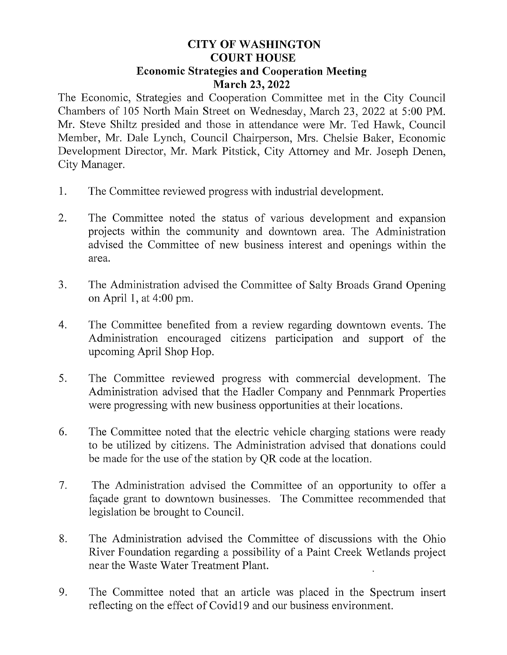## **CITY OF WASHINGTON** Y OF WASHING<br>COURT HOUSE **COURT HOUSE<br>Economic Strategies and Cooperation Meeting** March 23, 2022

The Economic, Strategies and Cooperation Committee met in the City Council Chambers of 105 North Main Street on Wednesday, March 23, 2022 at 5:00 PM. Mr. Steve Shiltz presided and those in attendance were Mr. Ted Hawk, Council Member, Mr. Dale Lynch, Council Chairperson, Mrs. Chelsie Baker, Economic Development Director, Mr. Mark Pitstick, City Attorney and Mr. Joseph Denen, City Manager.

- 1. The Committee reviewed progress with industrial development.
- 2. The Committee noted the status of various development and expansion The Committee noted the status of various development and expansion<br>projects within the community and downtown area. The Administration projects within the community and downtown area. The Administration<br>advised the Committee of new business interest and openings within the advised the Committee of new business interest and openings within the area.
- 3. The Administration advised the Committee of Salty Broads Grand Opening onApril 1, at 4:00 pm.
- 4. The Committee benefited from a review regarding downtown events. The Administration encouraged citizens participation and support of the upcoming April Shop Hop.
- 5. The Committee reviewed progress with commercial development. The Administration advised that the Hadler Company and Pennmark Properties were progressing with new business opportunities at their locations.
- 6. The Committee noted that the electric vehicle charging stations were ready The Committee noted that the electric vehicle charging stations were ready<br>to be utilized by citizens. The Administration advised that donations could to be utilized by citizens. The Administration advised that be made for the use of the station by QR code at the location.
- 7. The Administration advised the Committee of an opportunity to offer façade grant to downtown businesses. The Committee recommended that legislation be brought to Council.
- 8. The Administration advised the Committee of discussions with the Ohio River Foundation regarding a possibility of a Paint Creek Wetlands project near the Waste Water Treatment Plant.
- 9. The Committee noted that an article was placed in the Spectrum insert reflecting on the effect of Covid19 and our business environment.